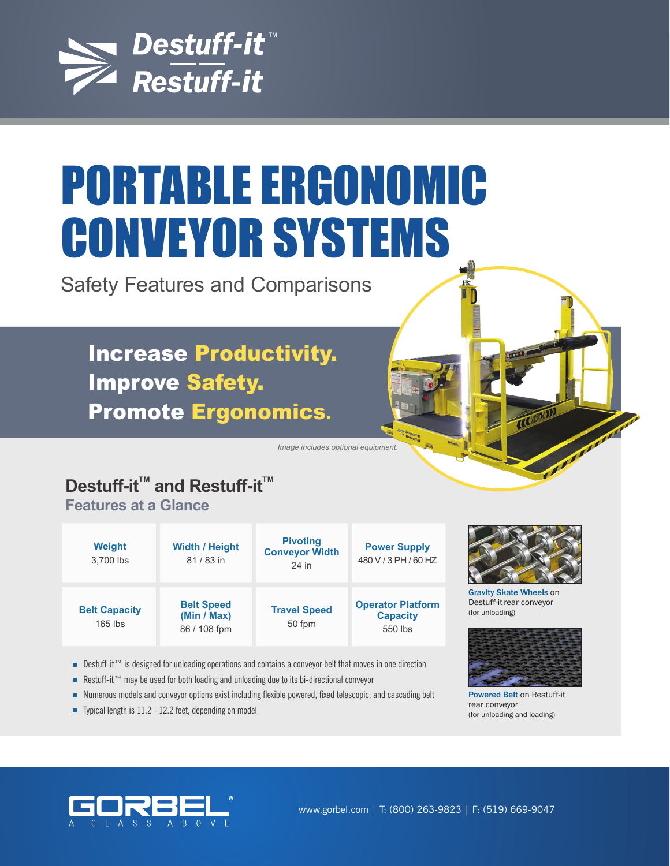

# PORTABLE ERGONOMIC CONVEYOR SYSTEMS

Safety Features and Comparisons

Increase Productivity. Improve Safety. Promote Ergonomics**.**

*Image includes optional equipment.* 

# **Destuff-it<sup>™</sup> and Restuff-it<sup>™</sup>**

**Features at a Glance**

| <b>Weight</b><br>3.700 lbs        | <b>Width / Height</b><br>81/83 in                | <b>Pivoting</b><br><b>Conveyor Width</b><br>24 in | <b>Power Supply</b><br>480 V / 3 PH / 60 HZ            |
|-----------------------------------|--------------------------------------------------|---------------------------------------------------|--------------------------------------------------------|
| <b>Belt Capacity</b><br>$165$ lbs | <b>Belt Speed</b><br>(Min / Max)<br>86 / 108 fpm | <b>Travel Speed</b><br>50 fpm                     | <b>Operator Platform</b><br><b>Capacity</b><br>550 lbs |

■ Destuff-it™ is designed for unloading operations and contains a conveyor belt that moves in one direction

- Restuff-it™ may be used for both loading and unloading due to its bi-directional conveyor
- Numerous models and conveyor options exist including flexible powered, fixed telescopic, and cascading belt
- Typical length is 11.2 12.2 feet, depending on model



Gravity Skate Wheels on Destuff-it rear conveyor (for unloading)



Powered Belt on Restuff-it rear conveyor (for unloading and loading)